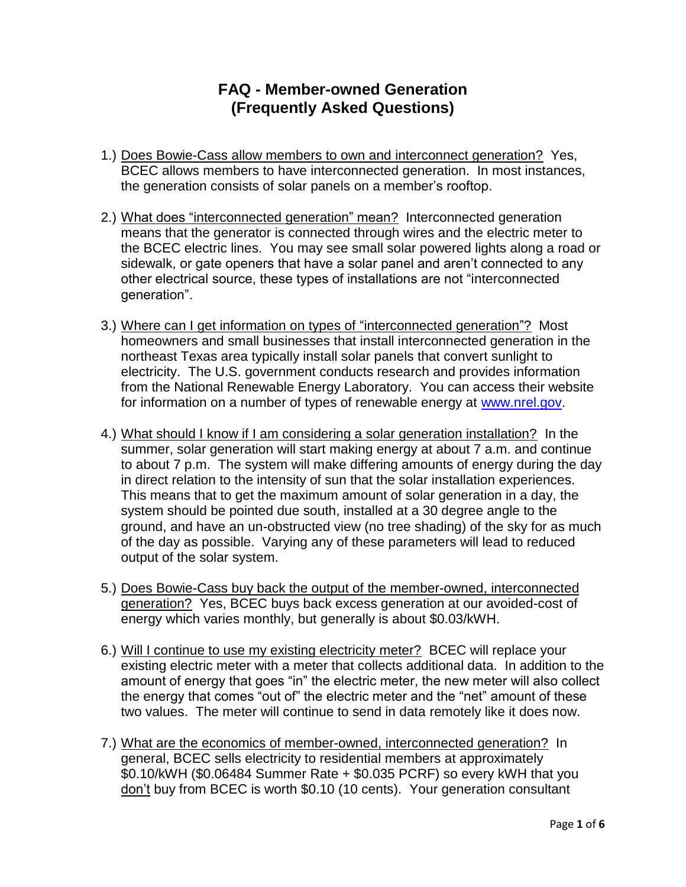## **FAQ - Member-owned Generation (Frequently Asked Questions)**

- 1.) Does Bowie-Cass allow members to own and interconnect generation? Yes, BCEC allows members to have interconnected generation. In most instances, the generation consists of solar panels on a member's rooftop.
- 2.) What does "interconnected generation" mean? Interconnected generation means that the generator is connected through wires and the electric meter to the BCEC electric lines. You may see small solar powered lights along a road or sidewalk, or gate openers that have a solar panel and aren't connected to any other electrical source, these types of installations are not "interconnected generation".
- 3.) Where can I get information on types of "interconnected generation"? Most homeowners and small businesses that install interconnected generation in the northeast Texas area typically install solar panels that convert sunlight to electricity. The U.S. government conducts research and provides information from the National Renewable Energy Laboratory. You can access their website for information on a number of types of renewable energy at [www.nrel.gov.](http://www.nrel.gov/)
- 4.) What should I know if I am considering a solar generation installation? In the summer, solar generation will start making energy at about 7 a.m. and continue to about 7 p.m. The system will make differing amounts of energy during the day in direct relation to the intensity of sun that the solar installation experiences. This means that to get the maximum amount of solar generation in a day, the system should be pointed due south, installed at a 30 degree angle to the ground, and have an un-obstructed view (no tree shading) of the sky for as much of the day as possible. Varying any of these parameters will lead to reduced output of the solar system.
- 5.) Does Bowie-Cass buy back the output of the member-owned, interconnected generation? Yes, BCEC buys back excess generation at our avoided-cost of energy which varies monthly, but generally is about \$0.03/kWH.
- 6.) Will I continue to use my existing electricity meter? BCEC will replace your existing electric meter with a meter that collects additional data. In addition to the amount of energy that goes "in" the electric meter, the new meter will also collect the energy that comes "out of" the electric meter and the "net" amount of these two values. The meter will continue to send in data remotely like it does now.
- 7.) What are the economics of member-owned, interconnected generation? In general, BCEC sells electricity to residential members at approximately \$0.10/kWH (\$0.06484 Summer Rate + \$0.035 PCRF) so every kWH that you don't buy from BCEC is worth \$0.10 (10 cents). Your generation consultant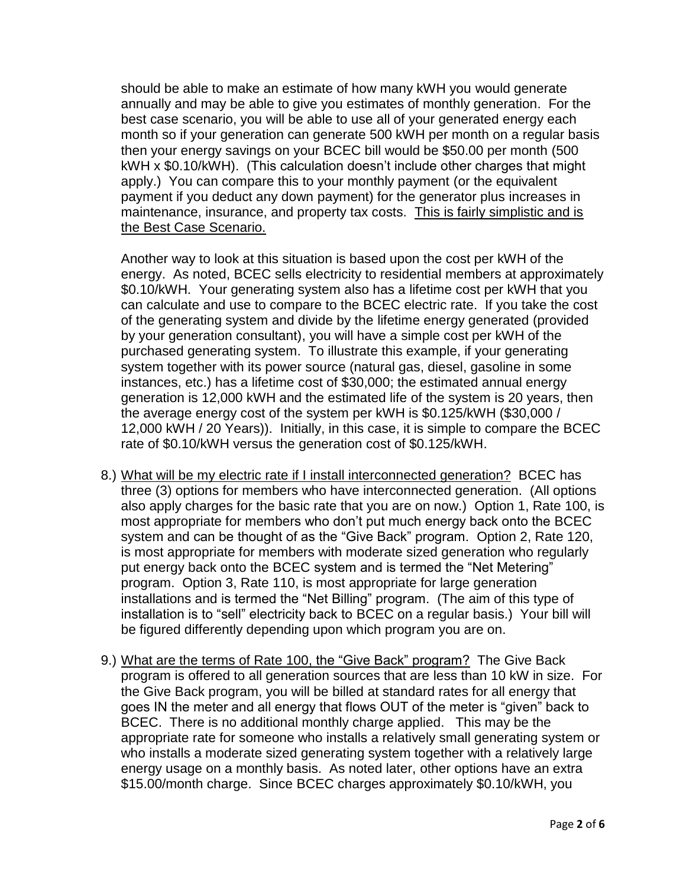should be able to make an estimate of how many kWH you would generate annually and may be able to give you estimates of monthly generation. For the best case scenario, you will be able to use all of your generated energy each month so if your generation can generate 500 kWH per month on a regular basis then your energy savings on your BCEC bill would be \$50.00 per month (500 kWH x \$0.10/kWH). (This calculation doesn't include other charges that might apply.) You can compare this to your monthly payment (or the equivalent payment if you deduct any down payment) for the generator plus increases in maintenance, insurance, and property tax costs. This is fairly simplistic and is the Best Case Scenario.

Another way to look at this situation is based upon the cost per kWH of the energy. As noted, BCEC sells electricity to residential members at approximately \$0.10/kWH. Your generating system also has a lifetime cost per kWH that you can calculate and use to compare to the BCEC electric rate. If you take the cost of the generating system and divide by the lifetime energy generated (provided by your generation consultant), you will have a simple cost per kWH of the purchased generating system. To illustrate this example, if your generating system together with its power source (natural gas, diesel, gasoline in some instances, etc.) has a lifetime cost of \$30,000; the estimated annual energy generation is 12,000 kWH and the estimated life of the system is 20 years, then the average energy cost of the system per kWH is \$0.125/kWH (\$30,000 / 12,000 kWH / 20 Years)). Initially, in this case, it is simple to compare the BCEC rate of \$0.10/kWH versus the generation cost of \$0.125/kWH.

- 8.) What will be my electric rate if I install interconnected generation? BCEC has three (3) options for members who have interconnected generation. (All options also apply charges for the basic rate that you are on now.) Option 1, Rate 100, is most appropriate for members who don't put much energy back onto the BCEC system and can be thought of as the "Give Back" program. Option 2, Rate 120, is most appropriate for members with moderate sized generation who regularly put energy back onto the BCEC system and is termed the "Net Metering" program. Option 3, Rate 110, is most appropriate for large generation installations and is termed the "Net Billing" program. (The aim of this type of installation is to "sell" electricity back to BCEC on a regular basis.) Your bill will be figured differently depending upon which program you are on.
- 9.) What are the terms of Rate 100, the "Give Back" program? The Give Back program is offered to all generation sources that are less than 10 kW in size. For the Give Back program, you will be billed at standard rates for all energy that goes IN the meter and all energy that flows OUT of the meter is "given" back to BCEC. There is no additional monthly charge applied. This may be the appropriate rate for someone who installs a relatively small generating system or who installs a moderate sized generating system together with a relatively large energy usage on a monthly basis. As noted later, other options have an extra \$15.00/month charge. Since BCEC charges approximately \$0.10/kWH, you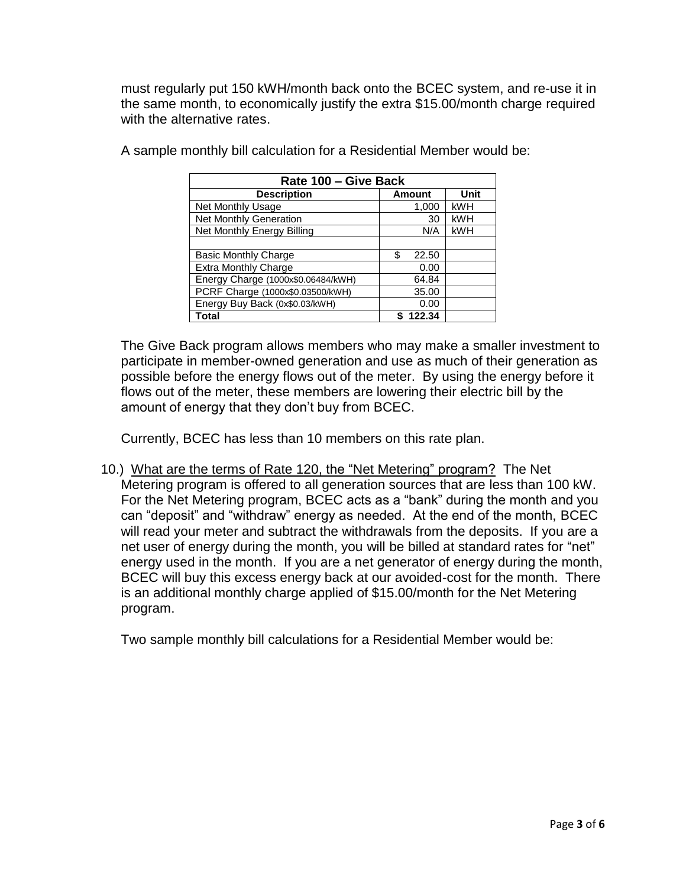must regularly put 150 kWH/month back onto the BCEC system, and re-use it in the same month, to economically justify the extra \$15.00/month charge required with the alternative rates.

| Rate 100 - Give Back               |               |            |  |
|------------------------------------|---------------|------------|--|
| <b>Description</b>                 | <b>Amount</b> | Unit       |  |
| Net Monthly Usage                  | 1,000         | <b>kWH</b> |  |
| Net Monthly Generation             | 30            | <b>kWH</b> |  |
| Net Monthly Energy Billing         | N/A           | <b>kWH</b> |  |
|                                    |               |            |  |
| <b>Basic Monthly Charge</b>        | 22.50<br>\$   |            |  |
| Extra Monthly Charge               | 0.00          |            |  |
| Energy Charge (1000x\$0.06484/kWH) | 64.84         |            |  |
| PCRF Charge (1000x\$0.03500/kWH)   | 35.00         |            |  |
| Energy Buy Back (0x\$0.03/kWH)     | 0.00          |            |  |
| Total                              | 122.34        |            |  |

A sample monthly bill calculation for a Residential Member would be:

The Give Back program allows members who may make a smaller investment to participate in member-owned generation and use as much of their generation as possible before the energy flows out of the meter. By using the energy before it flows out of the meter, these members are lowering their electric bill by the amount of energy that they don't buy from BCEC.

Currently, BCEC has less than 10 members on this rate plan.

10.) What are the terms of Rate 120, the "Net Metering" program? The Net Metering program is offered to all generation sources that are less than 100 kW. For the Net Metering program, BCEC acts as a "bank" during the month and you can "deposit" and "withdraw" energy as needed. At the end of the month, BCEC will read your meter and subtract the withdrawals from the deposits. If you are a net user of energy during the month, you will be billed at standard rates for "net" energy used in the month. If you are a net generator of energy during the month, BCEC will buy this excess energy back at our avoided-cost for the month. There is an additional monthly charge applied of \$15.00/month for the Net Metering program.

Two sample monthly bill calculations for a Residential Member would be: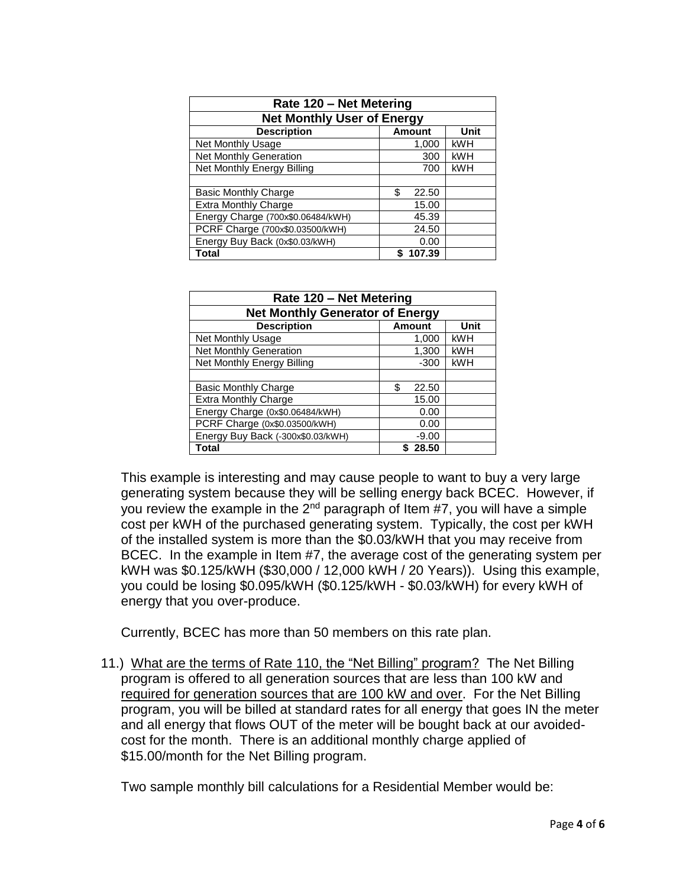| Rate 120 - Net Metering           |               |            |  |
|-----------------------------------|---------------|------------|--|
| <b>Net Monthly User of Energy</b> |               |            |  |
| <b>Description</b>                | <b>Amount</b> | Unit       |  |
| Net Monthly Usage                 | 1.000         | <b>kWH</b> |  |
| <b>Net Monthly Generation</b>     | 300           | <b>kWH</b> |  |
| Net Monthly Energy Billing        | 700           | <b>kWH</b> |  |
|                                   |               |            |  |
| <b>Basic Monthly Charge</b>       | \$<br>22.50   |            |  |
| <b>Extra Monthly Charge</b>       | 15.00         |            |  |
| Energy Charge (700x\$0.06484/kWH) | 45.39         |            |  |
| PCRF Charge (700x\$0.03500/kWH)   | 24.50         |            |  |
| Energy Buy Back (0x\$0.03/kWH)    | 0.00          |            |  |
| Total                             | 107.39        |            |  |

| Rate 120 - Net Metering                |             |            |  |
|----------------------------------------|-------------|------------|--|
| <b>Net Monthly Generator of Energy</b> |             |            |  |
| <b>Description</b>                     | Amount      | Unit       |  |
| Net Monthly Usage                      | 1,000       | <b>kWH</b> |  |
| Net Monthly Generation                 | 1,300       | <b>kWH</b> |  |
| Net Monthly Energy Billing             | $-300$      | <b>kWH</b> |  |
|                                        |             |            |  |
| <b>Basic Monthly Charge</b>            | ß.<br>22.50 |            |  |
| <b>Extra Monthly Charge</b>            | 15.00       |            |  |
| Energy Charge (0x\$0.06484/kWH)        | 0.00        |            |  |
| PCRF Charge (0x\$0.03500/kWH)          | 0.00        |            |  |
| Energy Buy Back (-300x\$0.03/kWH)      | $-9.00$     |            |  |
| Total                                  | 28.50       |            |  |

This example is interesting and may cause people to want to buy a very large generating system because they will be selling energy back BCEC. However, if you review the example in the  $2<sup>nd</sup>$  paragraph of Item #7, you will have a simple cost per kWH of the purchased generating system. Typically, the cost per kWH of the installed system is more than the \$0.03/kWH that you may receive from BCEC. In the example in Item #7, the average cost of the generating system per kWH was \$0.125/kWH (\$30,000 / 12,000 kWH / 20 Years)). Using this example, you could be losing \$0.095/kWH (\$0.125/kWH - \$0.03/kWH) for every kWH of energy that you over-produce.

Currently, BCEC has more than 50 members on this rate plan.

11.) What are the terms of Rate 110, the "Net Billing" program? The Net Billing program is offered to all generation sources that are less than 100 kW and required for generation sources that are 100 kW and over. For the Net Billing program, you will be billed at standard rates for all energy that goes IN the meter and all energy that flows OUT of the meter will be bought back at our avoidedcost for the month. There is an additional monthly charge applied of \$15.00/month for the Net Billing program.

Two sample monthly bill calculations for a Residential Member would be: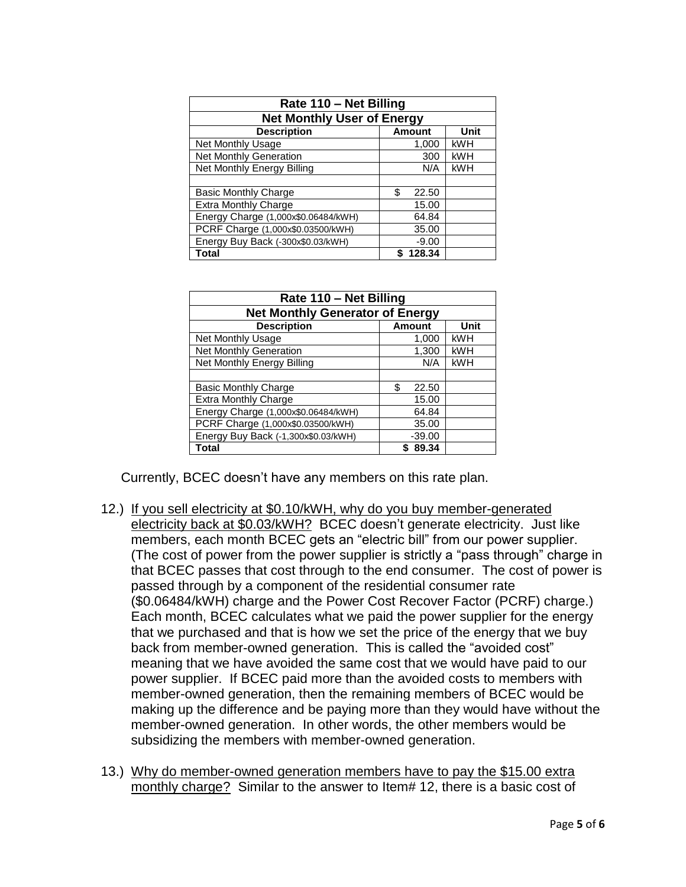| Rate 110 - Net Billing              |               |            |  |
|-------------------------------------|---------------|------------|--|
| <b>Net Monthly User of Energy</b>   |               |            |  |
| <b>Description</b>                  | <b>Amount</b> | Unit       |  |
| Net Monthly Usage                   | 1.000         | <b>kWH</b> |  |
| <b>Net Monthly Generation</b>       | 300           | <b>kWH</b> |  |
| Net Monthly Energy Billing          | N/A           | <b>kWH</b> |  |
|                                     |               |            |  |
| <b>Basic Monthly Charge</b>         | \$<br>22.50   |            |  |
| <b>Extra Monthly Charge</b>         | 15.00         |            |  |
| Energy Charge (1,000x\$0.06484/kWH) | 64.84         |            |  |
| PCRF Charge (1,000x\$0.03500/kWH)   | 35.00         |            |  |
| Energy Buy Back (-300x\$0.03/kWH)   | $-9.00$       |            |  |
| Total                               | 128.34        |            |  |

| Rate 110 - Net Billing<br><b>Net Monthly Generator of Energy</b> |             |            |  |
|------------------------------------------------------------------|-------------|------------|--|
|                                                                  |             |            |  |
| Net Monthly Usage                                                | 1,000       | <b>kWH</b> |  |
| Net Monthly Generation                                           | 1,300       | <b>kWH</b> |  |
| Net Monthly Energy Billing                                       | N/A         | kWH        |  |
|                                                                  |             |            |  |
| <b>Basic Monthly Charge</b>                                      | \$<br>22.50 |            |  |
| <b>Extra Monthly Charge</b>                                      | 15.00       |            |  |
| Energy Charge (1,000x\$0.06484/kWH)                              | 64.84       |            |  |
| PCRF Charge (1,000x\$0.03500/kWH)                                | 35.00       |            |  |
| Energy Buy Back (-1,300x\$0.03/kWH)                              | $-39.00$    |            |  |
| Total                                                            | 89.34       |            |  |

Currently, BCEC doesn't have any members on this rate plan.

- 12.) If you sell electricity at \$0.10/kWH, why do you buy member-generated electricity back at \$0.03/kWH? BCEC doesn't generate electricity. Just like members, each month BCEC gets an "electric bill" from our power supplier. (The cost of power from the power supplier is strictly a "pass through" charge in that BCEC passes that cost through to the end consumer. The cost of power is passed through by a component of the residential consumer rate (\$0.06484/kWH) charge and the Power Cost Recover Factor (PCRF) charge.) Each month, BCEC calculates what we paid the power supplier for the energy that we purchased and that is how we set the price of the energy that we buy back from member-owned generation. This is called the "avoided cost" meaning that we have avoided the same cost that we would have paid to our power supplier. If BCEC paid more than the avoided costs to members with member-owned generation, then the remaining members of BCEC would be making up the difference and be paying more than they would have without the member-owned generation. In other words, the other members would be subsidizing the members with member-owned generation.
- 13.) Why do member-owned generation members have to pay the \$15.00 extra monthly charge? Similar to the answer to Item# 12, there is a basic cost of